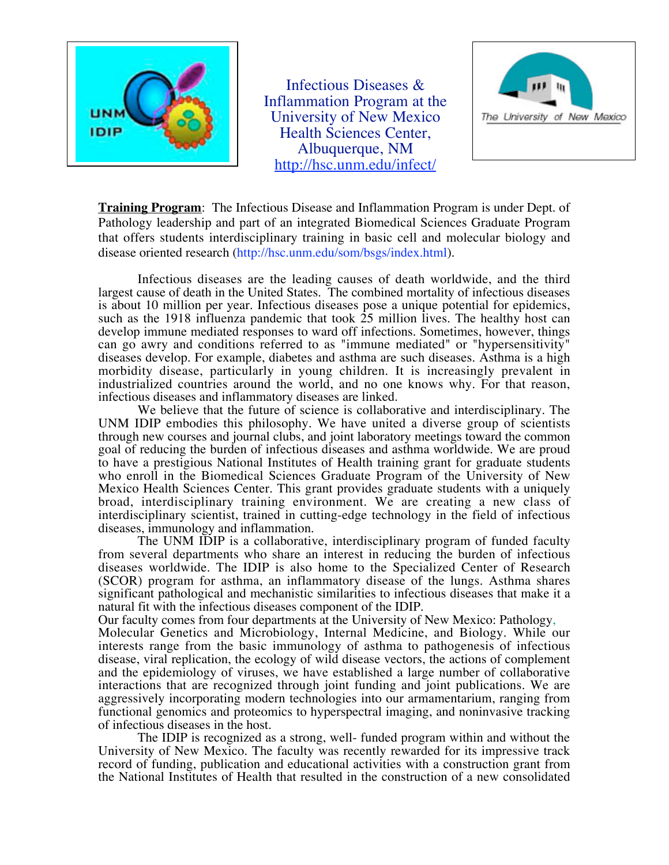

Infectious Diseases & Inflammation Program at the University of New Mexico Health Sciences Center, Albuquerque, NM http://hsc.unm.edu/infect/



**Training Program**: The Infectious Disease and Inflammation Program is under Dept. of Pathology leadership and part of an integrated Biomedical Sciences Graduate Program that offers students interdisciplinary training in basic cell and molecular biology and disease oriented research (http://hsc.unm.edu/som/bsgs/index.html).

Infectious diseases are the leading causes of death worldwide, and the third largest cause of death in the United States. The combined mortality of infectious diseases is about 10 million per year. Infectious diseases pose a unique potential for epidemics, such as the 1918 influenza pandemic that took  $\overline{25}$  million lives. The healthy host can develop immune mediated responses to ward off infections. Sometimes, however, things can go awry and conditions referred to as "immune mediated" or "hypersensitivity" diseases develop. For example, diabetes and asthma are such diseases. Asthma is a high morbidity disease, particularly in young children. It is increasingly prevalent in industrialized countries around the world, and no one knows why. For that reason, infectious diseases and inflammatory diseases are linked.

We believe that the future of science is collaborative and interdisciplinary. The UNM IDIP embodies this philosophy. We have united a diverse group of scientists through new courses and journal clubs, and joint laboratory meetings toward the common goal of reducing the burden of infectious diseases and asthma worldwide. We are proud to have a prestigious National Institutes of Health training grant for graduate students who enroll in the Biomedical Sciences Graduate Program of the University of New Mexico Health Sciences Center. This grant provides graduate students with a uniquely broad, interdisciplinary training environment. We are creating a new class of interdisciplinary scientist, trained in cutting-edge technology in the field of infectious diseases, immunology and inflammation.

The UNM IDIP is a collaborative, interdisciplinary program of funded faculty from several departments who share an interest in reducing the burden of infectious diseases worldwide. The IDIP is also home to the Specialized Center of Research (SCOR) program for asthma, an inflammatory disease of the lungs. Asthma shares significant pathological and mechanistic similarities to infectious diseases that make it a natural fit with the infectious diseases component of the IDIP.

Our faculty comes from four departments at the University of New Mexico: Pathology,

Molecular Genetics and Microbiology, Internal Medicine, and Biology. While our interests range from the basic immunology of asthma to pathogenesis of infectious disease, viral replication, the ecology of wild disease vectors, the actions of complement and the epidemiology of viruses, we have established a large number of collaborative interactions that are recognized through joint funding and joint publications. We are aggressively incorporating modern technologies into our armamentarium, ranging from functional genomics and proteomics to hyperspectral imaging, and noninvasive tracking of infectious diseases in the host.

The IDIP is recognized as a strong, well- funded program within and without the University of New Mexico. The faculty was recently rewarded for its impressive track record of funding, publication and educational activities with a construction grant from the National Institutes of Health that resulted in the construction of a new consolidated